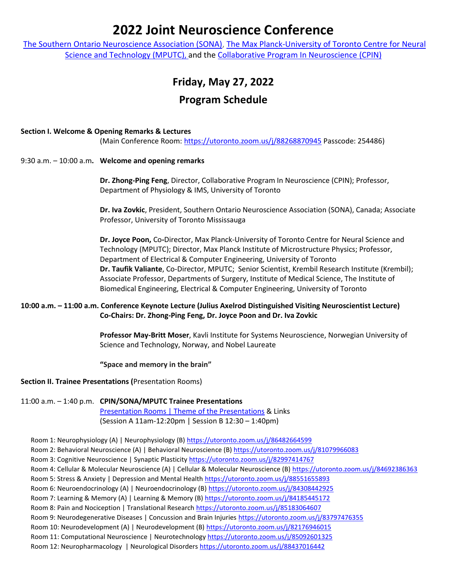# **2022 Joint Neuroscience Conference**

[The Southern Ontario Neuroscience Association \(SONA\),](https://sonasfn.org/) [The Max Planck-University of Toronto Centre](https://mpc.utoronto.ca/) for Neural [Science and Technology](https://mpc.utoronto.ca/) (MPUTC), and the [Collaborative Program In Neuroscience \(CPIN\)](http://www.neuroscience.utoronto.ca/)

## **Friday, May 27, 2022**

## **Program Schedule**

#### **Section I. Welcome & Opening Remarks & Lectures**

(Main Conference Room:<https://utoronto.zoom.us/j/88268870945> Passcode: 254486)

9:30 a.m. – 10:00 a.m**. Welcome and opening remarks**

**Dr. Zhong-Ping Feng**, Director, Collaborative Program In Neuroscience (CPIN); Professor, Department of Physiology & IMS, University of Toronto

**Dr. Iva Zovkic**, President, Southern Ontario Neuroscience Association (SONA), Canada; Associate Professor, University of Toronto Mississauga

**Dr. Joyce Poon,** Co**-**Director, Max Planck-University of Toronto Centre for Neural Science and Technology (MPUTC); Director, Max Planck Institute of Microstructure Physics; Professor, Department of Electrical & Computer Engineering, University of Toronto **Dr. Taufik Valiante**, Co-Director, MPUTC; Senior Scientist, Krembil Research Institute (Krembil); Associate Professor, Departments of Surgery, Institute of Medical Science, The Institute of Biomedical Engineering, Electrical & Computer Engineering, University of Toronto

#### **10:00 a.m. – 11:00 a.m. Conference Keynote Lecture (Julius Axelrod Distinguished Visiting Neuroscientist Lecture) Co-Chairs: Dr. Zhong-Ping Feng, Dr. Joyce Poon and Dr. Iva Zovkic**

**Professor May-Britt Moser**, Kavli Institute for Systems Neuroscience, Norwegian University of Science and Technology, Norway, and Nobel Laureate

**"Space and memory in the brain"**

#### **Section II. Trainee Presentations (**Presentation Rooms)

### 11:00 a.m. – 1:40 p.m. **CPIN/SONA/MPUTC Trainee Presentations**

Presentation Rooms | [Theme of the Presentations](http://www.neuroscience.utoronto.ca/Assets/Neuroscience+Digital+Assets/Neuroscience/UTNP+Digital+Assets/Research+Day/2022/Student+Presenters+(May+24th).pdf) & Links (Session A 11am-12:20pm | Session B 12:30 – 1:40pm)

Room 1: Neurophysiology (A) | Neurophysiology (B) <https://utoronto.zoom.us/j/86482664599>

Room 2: Behavioral Neuroscience (A) | Behavioral Neuroscience (B) <https://utoronto.zoom.us/j/81079966083>

Room 3: Cognitive Neuroscience | Synaptic Plasticity <https://utoronto.zoom.us/j/82997414767>

Room 4: Cellular & Molecular Neuroscience (A) | Cellular & Molecular Neuroscience (B) <https://utoronto.zoom.us/j/84692386363>

Room 5: Stress & Anxiety | Depression and Mental Health https://utoronto.zoom.us/j/88551655893

Room 6: Neuroendocrinology (A) | Neuroendocrinology (B) <https://utoronto.zoom.us/j/84308442925>

Room 7: Learning & Memory (A) | Learning & Memory (B) <https://utoronto.zoom.us/j/84185445172>

Room 8: Pain and Nociception | Translational Research <https://utoronto.zoom.us/j/85183064607>

Room 9: Neurodegenerative Diseases | Concussion and Brain Injuries <https://utoronto.zoom.us/j/83797476355>

Room 10: Neurodevelopment (A) | Neurodevelopment (B) <https://utoronto.zoom.us/j/82176946015>

Room 11: Computational Neuroscience | Neurotechnology <https://utoronto.zoom.us/j/85092601325>

Room 12: Neuropharmacology | Neurological Disorders <https://utoronto.zoom.us/j/88437016442>